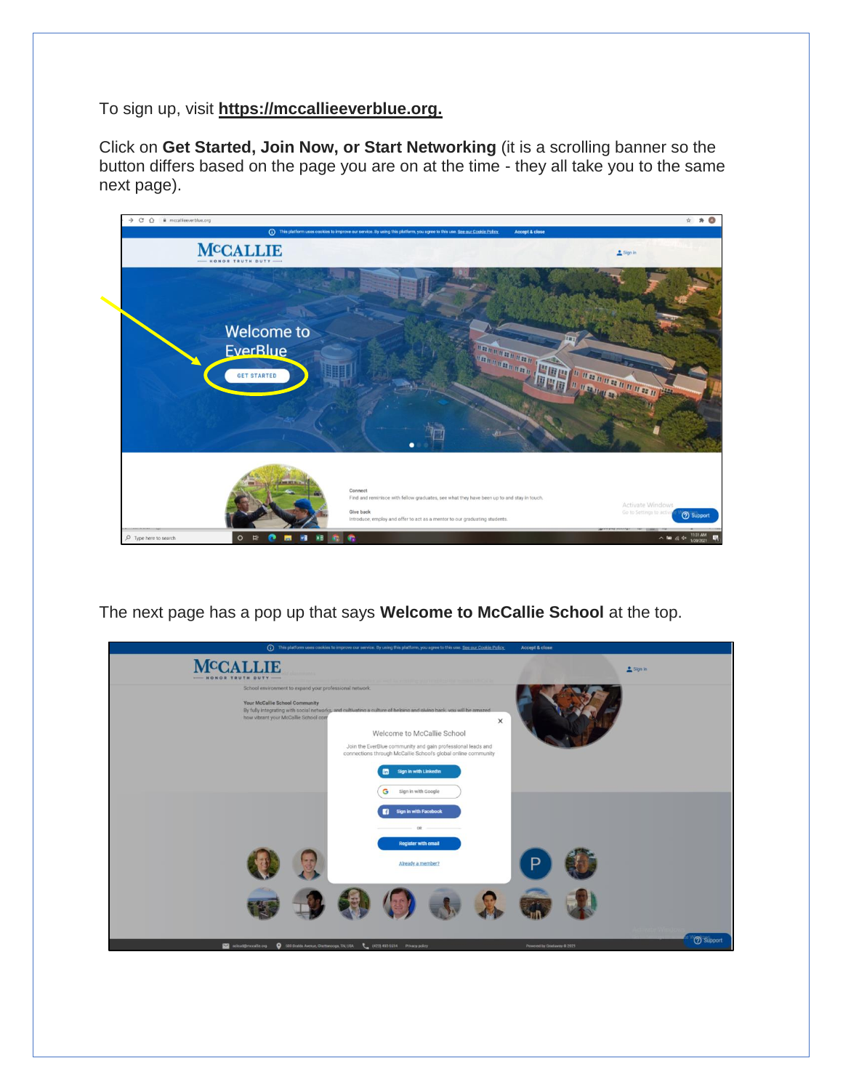To sign up, visit **https://mccallieeverblue.org.**

Click on **Get Started, Join Now, or Start Networking** (it is a scrolling banner so the button differs based on the page you are on at the time - they all take you to the same next page).



The next page has a pop up that says **Welcome to McCallie School** at the top.

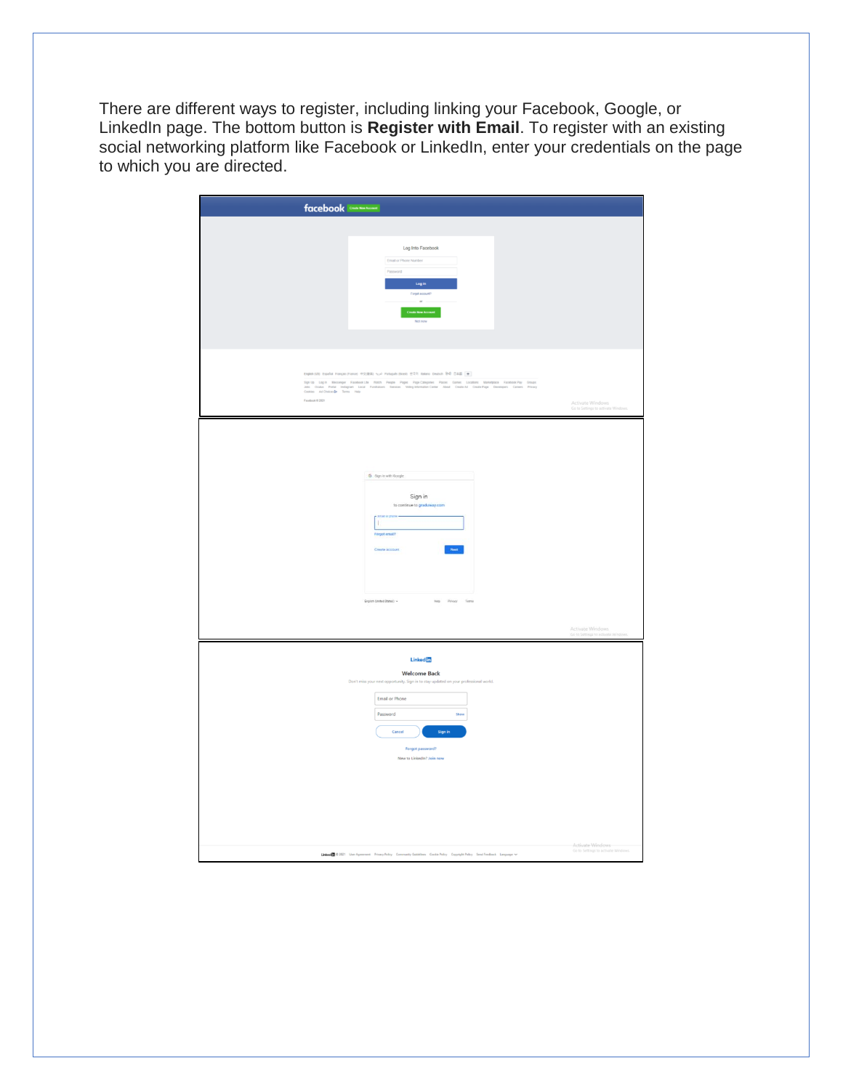There are different ways to register, including linking your Facebook, Google, or LinkedIn page. The bottom button is **Register with Email**. To register with an existing social networking platform like Facebook or LinkedIn, enter your credentials on the page to which you are directed.

| facebook <b>Count Management</b>                                                                                                                                                                                                                                                                                                                                       |                                                    |
|------------------------------------------------------------------------------------------------------------------------------------------------------------------------------------------------------------------------------------------------------------------------------------------------------------------------------------------------------------------------|----------------------------------------------------|
| Log Into Facebook<br>Email or Phone Number<br>Password<br>Log in<br>Forgot account?<br>$\alpha$<br><b>Create New Account</b><br>Not now                                                                                                                                                                                                                                |                                                    |
| English (US) Español Français (France) 中文(職業) 4pJ Partuguês (Brasil) 한국어 Italiano Deutsch 年4 日本語 +<br>Sipità Liqin Wesseyer Facebook.ht Wath People Pages Pages Deprichiques: Places Outeur Marketasa Facebook.htm Grappe. Lical<br>John Douta Peda Indianan Lical Ferdinans Services: WeighthendiesCenter Joan Craskoll CrackPage Deve<br>Facebook 0 2021             | Activate Windows<br>Go to Settings to activate W   |
| G Sign in with Google<br>Sign in<br>to continue to graduway.com<br><b>Deal or the</b><br>上<br>Forgot email?<br>Create account<br>Next.<br>English (United States) -<br>Help Privacy Terms                                                                                                                                                                              | Activate Windows<br>Go to Settings to activate     |
| <b>Linked</b><br><b>Welcome Back</b><br>Don't miss your next opportunity. Sign in to stay updated on your professional world.<br>Email or Phone<br>Password<br>Show<br>Sign in<br>Cancel<br>Forgot password?<br>New to LinkedIn? Join now<br>Linked<br>0 2021 User Agreement Privacy Policy Community Guidelines Cookie Policy Copyright Policy Send Feedback Language | Activate-Windows<br>Go to Settings to activate Win |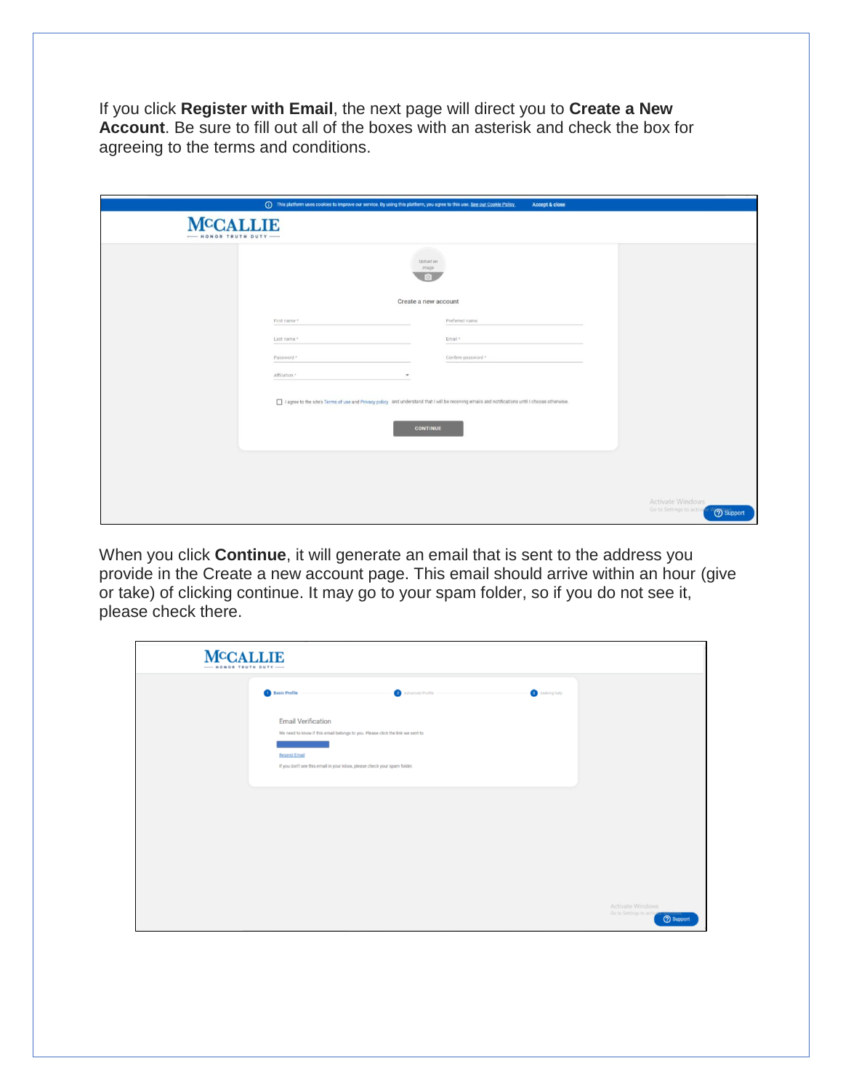If you click **Register with Email**, the next page will direct you to **Create a New Account**. Be sure to fill out all of the boxes with an asterisk and check the box for agreeing to the terms and conditions.

|                                       |                           |                          | (i) This platform uses cookies to improve our service. By using this platform, you agree to this use. See our Cookie Policy<br>Accept & close    |                                                                  |
|---------------------------------------|---------------------------|--------------------------|--------------------------------------------------------------------------------------------------------------------------------------------------|------------------------------------------------------------------|
| <b>MCCALLIE</b><br>HONOR TRUTH DUTY - |                           |                          |                                                                                                                                                  |                                                                  |
|                                       |                           | Upload an<br>image<br>Гö |                                                                                                                                                  |                                                                  |
|                                       |                           | Create a new account     |                                                                                                                                                  |                                                                  |
|                                       | First name *              |                          | Preferred name                                                                                                                                   |                                                                  |
|                                       | Last name *               |                          | Email *                                                                                                                                          |                                                                  |
|                                       | Password *                |                          | Confirm password *                                                                                                                               |                                                                  |
|                                       | Affiliation. <sup>*</sup> | $\cdot$                  |                                                                                                                                                  |                                                                  |
|                                       |                           | <b>CONTINUE</b>          | I agree to the site's Terms of use and Privacy policy and understand that I will be receiving emails and notifications until I choose otherwise. |                                                                  |
|                                       |                           |                          |                                                                                                                                                  |                                                                  |
|                                       |                           |                          |                                                                                                                                                  |                                                                  |
|                                       |                           |                          |                                                                                                                                                  | Activate Windows<br>Go to Settings to activa<br><b>2</b> Support |

When you click **Continue**, it will generate an email that is sent to the address you provide in the Create a new account page. This email should arrive within an hour (give or take) of clicking continue. It may go to your spam folder, so if you do not see it, please check there.

| <b>MCCALLIE</b><br>$-$ HONOR TRUTH DUTY $-$ |                                                                                                                                    |                                                                 |
|---------------------------------------------|------------------------------------------------------------------------------------------------------------------------------------|-----------------------------------------------------------------|
|                                             | <b>Basic Profile</b><br>Seeking help<br>Advanced Profile                                                                           |                                                                 |
|                                             | <b>Email Verification</b><br>We need to know if this email belongs to you. Please click the link we sent to<br><b>Resend Email</b> |                                                                 |
|                                             | If you don't see this email in your inbox, please check your spam folder.                                                          |                                                                 |
|                                             |                                                                                                                                    |                                                                 |
|                                             |                                                                                                                                    |                                                                 |
|                                             |                                                                                                                                    | Activate Windows<br>Go to Settings to activ<br><b>O</b> Support |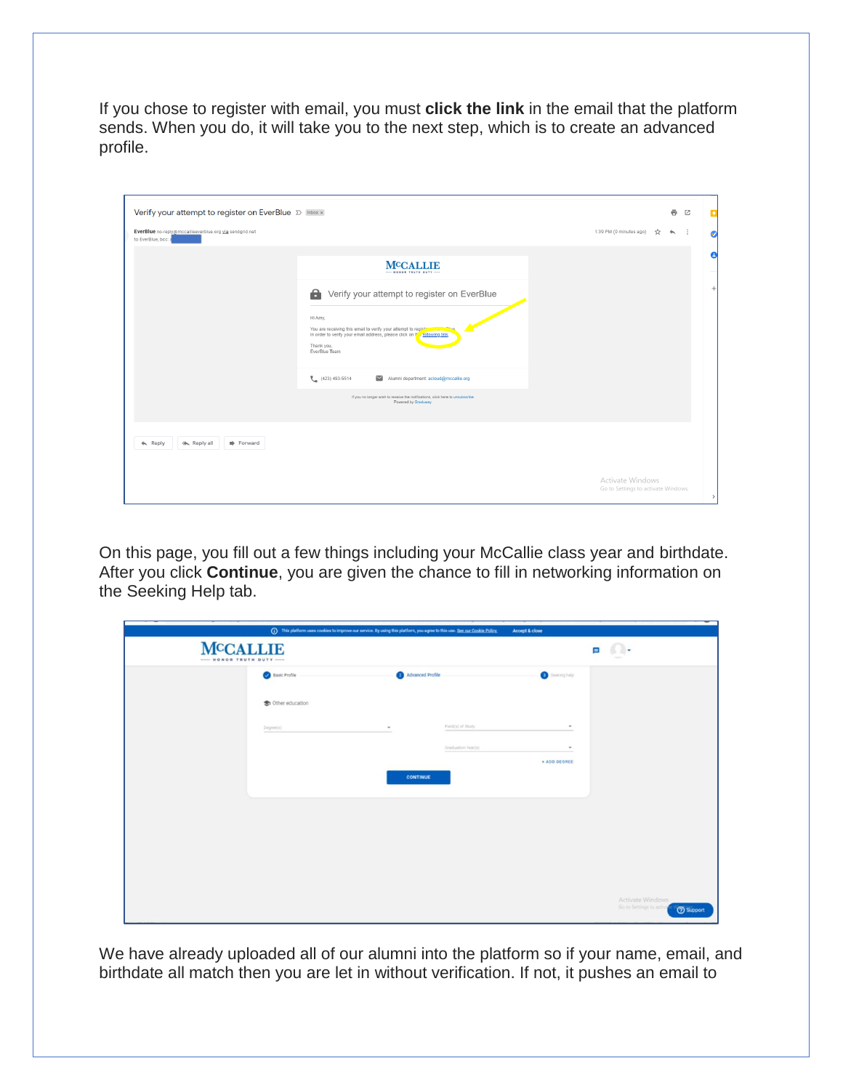If you chose to register with email, you must **click the link** in the email that the platform sends. When you do, it will take you to the next step, which is to create an advanced profile.

| Verify your attempt to register on EverBlue D Inbox x                        |                                                                                                                                                                                         | $\ddot{\sigma}$<br>囜<br>o                                                |
|------------------------------------------------------------------------------|-----------------------------------------------------------------------------------------------------------------------------------------------------------------------------------------|--------------------------------------------------------------------------|
| EverBlue no-reply@mccallieeverblue.org via sendgrid.net<br>to EverBlue, bcc: |                                                                                                                                                                                         | 1:39 PM (0 minutes ago)<br>÷<br>x<br>ь<br>Ø                              |
|                                                                              | <b>MCCALLIE</b><br>- HONOR TRUTH BUTY                                                                                                                                                   | Θ                                                                        |
|                                                                              | a<br>Verify your attempt to register on EverBlue                                                                                                                                        | $^{+}$                                                                   |
|                                                                              | Hi Amy,<br>You are receiving this email to verify your attempt to register<br>In order to verify your email address, please click on the rollowing link.<br>Thank you,<br>EverBlue Team |                                                                          |
|                                                                              | $(423)$ 493-5514<br>Alumni department: acloud@mccallie.org<br>If you no longer wish to receive the notifications, click here to unsubscribe<br>Powered by Graduway                      |                                                                          |
|                                                                              |                                                                                                                                                                                         |                                                                          |
| $\leftarrow$ Reply<br>Forward                                                |                                                                                                                                                                                         |                                                                          |
|                                                                              |                                                                                                                                                                                         | Activate Windows<br>Go to Settings to activate Windows.<br>$\rightarrow$ |

On this page, you fill out a few things including your McCallie class year and birthdate. After you click **Continue**, you are given the chance to fill in networking information on the Seeking Help tab.

|                                                               | (1) This platform uses cookies to improve our service. By using this platform, you agree to this use. See our Cookie Policy. |                     |                    | Accept & close        |                                                                  |
|---------------------------------------------------------------|------------------------------------------------------------------------------------------------------------------------------|---------------------|--------------------|-----------------------|------------------------------------------------------------------|
| <b>MCCALLIE</b><br>$\sqrt{2}$<br>Þ<br><b>HONOR TRUTH DUTY</b> |                                                                                                                              |                     |                    |                       |                                                                  |
|                                                               | <b>Basic Profile</b>                                                                                                         | Advanced Profile    |                    | <b>O</b> Seeking help |                                                                  |
|                                                               | to Other education                                                                                                           |                     |                    |                       |                                                                  |
|                                                               | $D$ egres(x)                                                                                                                 | $\scriptstyle\rm w$ | Field(s) of thirty | $\;$                  |                                                                  |
|                                                               |                                                                                                                              |                     | Graduation Year(s) | + ADD DEGREE          |                                                                  |
|                                                               |                                                                                                                              | <b>CONTINUE</b>     |                    |                       |                                                                  |
|                                                               |                                                                                                                              |                     |                    |                       |                                                                  |
|                                                               |                                                                                                                              |                     |                    |                       |                                                                  |
|                                                               |                                                                                                                              |                     |                    |                       |                                                                  |
|                                                               |                                                                                                                              |                     |                    |                       |                                                                  |
|                                                               |                                                                                                                              |                     |                    |                       | Activate Windows<br>Go to Settings to active<br><b>O</b> Support |

We have already uploaded all of our alumni into the platform so if your name, email, and birthdate all match then you are let in without verification. If not, it pushes an email to